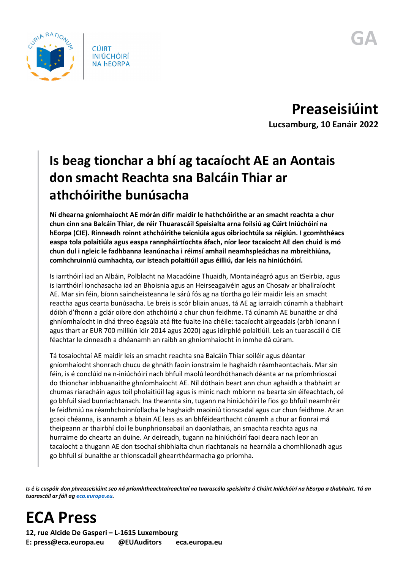

**CÚIRT INIÚCHÓIRÍ NA hEORPA** 

**Preaseisiúint Lucsamburg, 10 Eanáir 2022**

## **Is beag tionchar a bhí ag tacaíocht AE an Aontais don smacht Reachta sna Balcáin Thiar ar athchóirithe bunúsacha**

**Ní dhearna gníomhaíocht AE mórán difir maidir le hathchóirithe ar an smacht reachta a chur chun cinn sna Balcáin Thiar, de réir Thuarascáil Speisialta arna foilsiú ag Cúirt Iniúchóirí na hEorpa (CIE). Rinneadh roinnt athchóirithe teicniúla agus oibriochtúla sa réigiún. I gcomhthéacs easpa tola polaitiúla agus easpa rannpháirtíochta áfach, níor leor tacaíocht AE den chuid is mó chun dul i ngleic le fadhbanna leanúnacha i réimsí amhail neamhspleáchas na mbreithiúna, comhchruinniú cumhachta, cur isteach polaitiúil agus éilliú, dar leis na hiniúchóirí.**

Is iarrthóirí iad an Albáin, Polblacht na Macadóine Thuaidh, Montainéagró agus an tSeirbia, agus is iarrthóirí ionchasacha iad an Bhoisnia agus an Heirseagaivéin agus an Chosaiv ar bhallraíocht AE. Mar sin féin, bíonn saincheisteanna le sárú fós ag na tíortha go léir maidir leis an smacht reactha agus cearta bunúsacha. Le breis is scór bliain anuas, tá AE ag iarraidh cúnamh a thabhairt dóibh d'fhonn a gclár oibre don athchóiriú a chur chun feidhme. Tá cúnamh AE bunaithe ar dhá ghníomhaíocht in dhá threo éagsúla atá fite fuaite ina chéile: tacaíocht airgeadais (arbh ionann í agus thart ar EUR 700 milliún idir 2014 agus 2020) agus idirphlé polaitiúil. Leis an tuarascáil ó CIE féachtar le cinneadh a dhéanamh an raibh an ghníomhaíocht in inmhe dá cúram.

Tá tosaíochtaí AE maidir leis an smacht reachta sna Balcáin Thiar soiléir agus déantar gníomhaíocht shonrach chucu de ghnáth faoin ionstraim le haghaidh réamhaontachais. Mar sin féin, is é conclúid na n-iniúchóirí nach bhfuil maolú leordhóthanach déanta ar na príomhrioscaí do thionchar inbhuanaithe ghníomhaíocht AE. Níl dóthain beart ann chun aghaidh a thabhairt ar chumas riaracháin agus toil pholaitiúil lag agus is minic nach mbíonn na bearta sin éifeachtach, cé go bhfuil siad bunriachtanach. Ina theannta sin, tugann na hiniúchóirí le fios go bhfuil neamhréir le feidhmiú na réamhchoinníollacha le haghaidh maoiniú tionscadal agus cur chun feidhme. Ar an gcaoi chéanna, is annamh a bhain AE leas as an bhféidearthacht cúnamh a chur ar fionraí má theipeann ar thairbhí cloí le bunphrionsabail an daonlathais, an smachta reachta agus na hurraime do chearta an duine. Ar deireadh, tugann na hiniúchóirí faoi deara nach leor an tacaíocht a thugann AE don tsochaí shibhialta chun riachtanais na hearnála a chomhlíonadh agus go bhfuil sí bunaithe ar thionscadail ghearrthéarmacha go príomha.

*Is é is cuspóir don phreaseisiúint seo ná príomhtheachtaireachtaí na tuarascála speisialta ó Chúirt Iniúchóirí na hEorpa a thabhairt. Tá an tuarascáil ar fáil ag [eca.europa.eu.](https://www.eca.europa.eu/)*



**12, rue Alcide De Gasperi – L-1615 Luxembourg E: press@eca.europa.eu @EUAuditors eca.europa.eu**